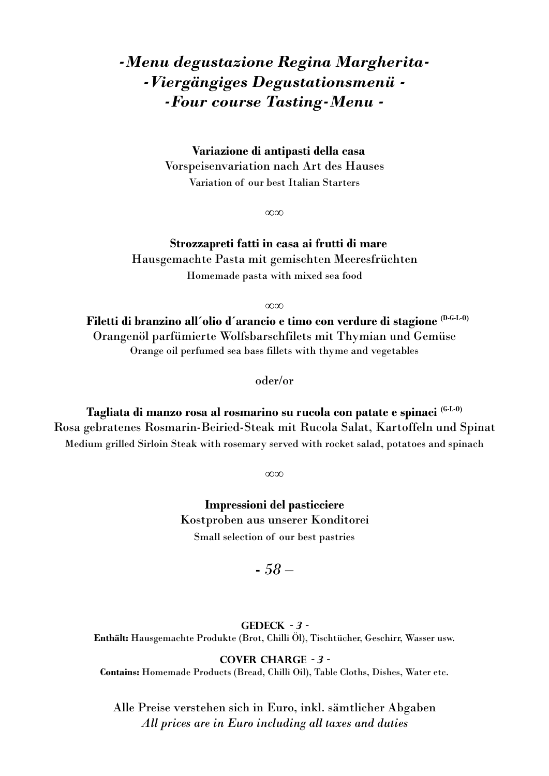## *-Menu degustazione Regina Margherita- -Viergängiges Degustationsmenü - -Four course Tasting-Menu -*

**Variazione di antipasti della casa** Vorspeisenvariation nach Art des Hauses Variation of our best Italian Starters

∞∞

**Strozzapreti fatti in casa ai frutti di mare** Hausgemachte Pasta mit gemischten Meeresfrüchten Homemade pasta with mixed sea food

∞∞

**Filetti di branzino all´olio d´arancio e timo con verdure di stagione (D-G-L-O)** Orangenöl parfümierte Wolfsbarschfilets mit Thymian und Gemüse Orange oil perfumed sea bass fillets with thyme and vegetables

oder/or

**Tagliata di manzo rosa al rosmarino su rucola con patate e spinaci (G-L-O)** Rosa gebratenes Rosmarin-Beiried-Steak mit Rucola Salat, Kartoffeln und Spinat Medium grilled Sirloin Steak with rosemary served with rocket salad, potatoes and spinach

∞∞

**Impressioni del pasticciere** Kostproben aus unserer Konditorei Small selection of our best pastries

### *- 58 –*

**Gedeck - 3 - Enthält:** Hausgemachte Produkte (Brot, Chilli Öl), Tischtücher, Geschirr, Wasser usw.

**Cover Charge - 3 -**

**Contains:** Homemade Products (Bread, Chilli Oil), Table Cloths, Dishes, Water etc.

Alle Preise verstehen sich in Euro, inkl. sämtlicher Abgaben *All prices are in Euro including all taxes and duties*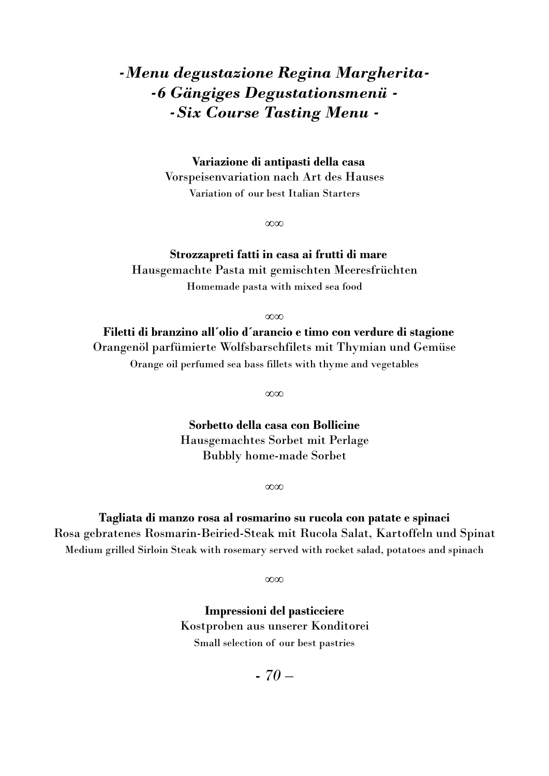## *-Menu degustazione Regina Margherita- -6 Gängiges Degustationsmenü - -Six Course Tasting Menu -*

**Variazione di antipasti della casa** Vorspeisenvariation nach Art des Hauses Variation of our best Italian Starters

∞∞

### **Strozzapreti fatti in casa ai frutti di mare** Hausgemachte Pasta mit gemischten Meeresfrüchten Homemade pasta with mixed sea food

∞∞

**Filetti di branzino all´olio d´arancio e timo con verdure di stagione**  Orangenöl parfümierte Wolfsbarschfilets mit Thymian und Gemüse Orange oil perfumed sea bass fillets with thyme and vegetables

∞∞

**Sorbetto della casa con Bollicine** Hausgemachtes Sorbet mit Perlage Bubbly home-made Sorbet

∞∞

**Tagliata di manzo rosa al rosmarino su rucola con patate e spinaci** Rosa gebratenes Rosmarin-Beiried-Steak mit Rucola Salat, Kartoffeln und Spinat Medium grilled Sirloin Steak with rosemary served with rocket salad, potatoes and spinach

∞∞

**Impressioni del pasticciere** Kostproben aus unserer Konditorei Small selection of our best pastries

*- 70 –*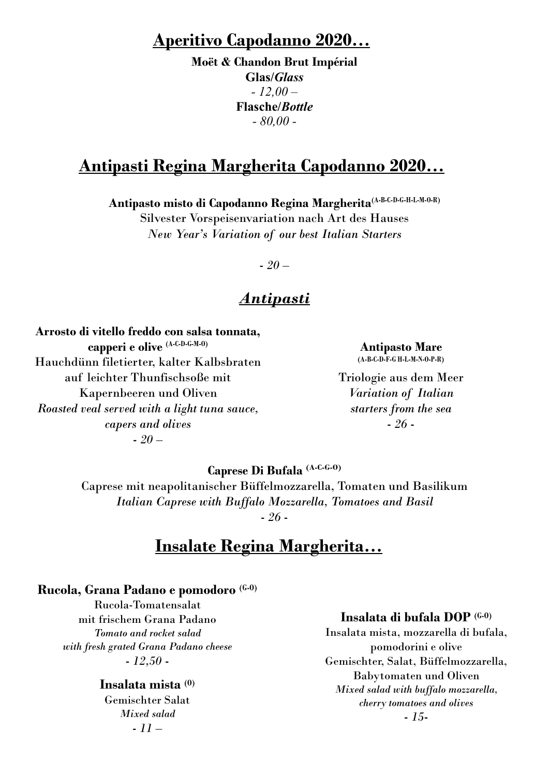### **Aperitivo Capodanno 2020…**

**Moët & Chandon Brut Impérial Glas/***Glass - 12,00 –* **Flasche/***Bottle - 80,00 -*

### **Antipasti Regina Margherita Capodanno 2020…**

**Antipasto misto di Capodanno Regina Margherita(A-B-C-D-G-H-L-M-O-R)**

Silvester Vorspeisenvariation nach Art des Hauses *New Year's Variation of our best Italian Starters*

*- 20 –*

### *Antipasti*

**Arrosto di vitello freddo con salsa tonnata, capperi e olive (A-C-D-G-M-O)** Hauchdünn filetierter, kalter Kalbsbraten auf leichter Thunfischsoße mit Kapernbeeren und Oliven *Roasted veal served with a light tuna sauce, capers and olives - 20 –*

**Antipasto Mare (A-B-C-D-F-G H-L-M-N-O-P-R)**

Triologie aus dem Meer *Variation of Italian starters from the sea - 26 -*

**Caprese Di Bufala (A-C-G-O)** Caprese mit neapolitanischer Büffelmozzarella, Tomaten und Basilikum *Italian Caprese with Buffalo Mozzarella, Tomatoes and Basil - 26 -*

## **Insalate Regina Margherita…**

#### **Rucola, Grana Padano e pomodoro (G-O)**

Rucola-Tomatensalat mit frischem Grana Padano *Tomato and rocket salad with fresh grated Grana Padano cheese - 12,50 -*

#### **Insalata mista (O)**

Gemischter Salat *Mixed salad - 11 –*

#### **Insalata di bufala DOP (G-O)**

Insalata mista, mozzarella di bufala, pomodorini e olive Gemischter, Salat, Büffelmozzarella, Babytomaten und Oliven *Mixed salad with buffalo mozzarella, cherry tomatoes and olives - 15-*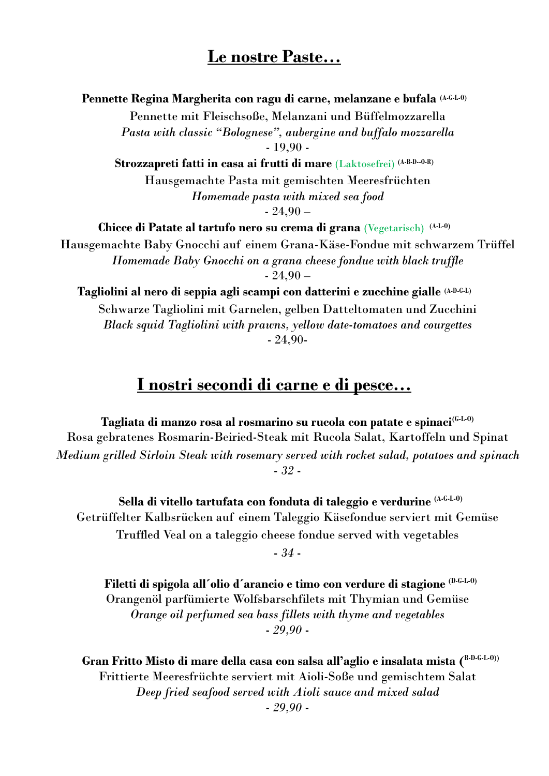### **Le nostre Paste…**

**Pennette Regina Margherita con ragu di carne, melanzane e bufala (A-G-L-O)** Pennette mit Fleischsoße, Melanzani und Büffelmozzarella *Pasta with classic "Bolognese", aubergine and buffalo mozzarella*  - 19,90 - **Strozzapreti fatti in casa ai frutti di mare** (Laktosefrei) **(A-B-D--O-R)** Hausgemachte Pasta mit gemischten Meeresfrüchten *Homemade pasta with mixed sea food*  $-24,90-$ **Chicce di Patate al tartufo nero su crema di grana** (Vegetarisch) **(A-L-O)** Hausgemachte Baby Gnocchi auf einem Grana-Käse-Fondue mit schwarzem Trüffel *Homemade Baby Gnocchi on a grana cheese fondue with black truffle*  $-24,90-$ **Tagliolini al nero di seppia agli scampi con datterini e zucchine gialle (A-D-G-L)** Schwarze Tagliolini mit Garnelen, gelben Datteltomaten und Zucchini

*Black squid Tagliolini with prawns, yellow date-tomatoes and courgettes* - 24,90-

## **I nostri secondi di carne e di pesce…**

**Tagliata di manzo rosa al rosmarino su rucola con patate e spinaci(G-L-O)** Rosa gebratenes Rosmarin-Beiried-Steak mit Rucola Salat, Kartoffeln und Spinat *Medium grilled Sirloin Steak with rosemary served with rocket salad, potatoes and spinach - 32 -*

**Sella di vitello tartufata con fonduta di taleggio e verdurine (A-G-L-O)** Getrüffelter Kalbsrücken auf einem Taleggio Käsefondue serviert mit Gemüse Truffled Veal on a taleggio cheese fondue served with vegetables *- 34 -*

**Filetti di spigola all´olio d´arancio e timo con verdure di stagione (D-G-L-O)** Orangenöl parfümierte Wolfsbarschfilets mit Thymian und Gemüse *Orange oil perfumed sea bass fillets with thyme and vegetables - 29,90 -*

**Gran Fritto Misto di mare della casa con salsa all'aglio e insalata mista ( B-D-G-L-O))** Frittierte Meeresfrüchte serviert mit Aioli-Soße und gemischtem Salat *Deep fried seafood served with Aioli sauce and mixed salad*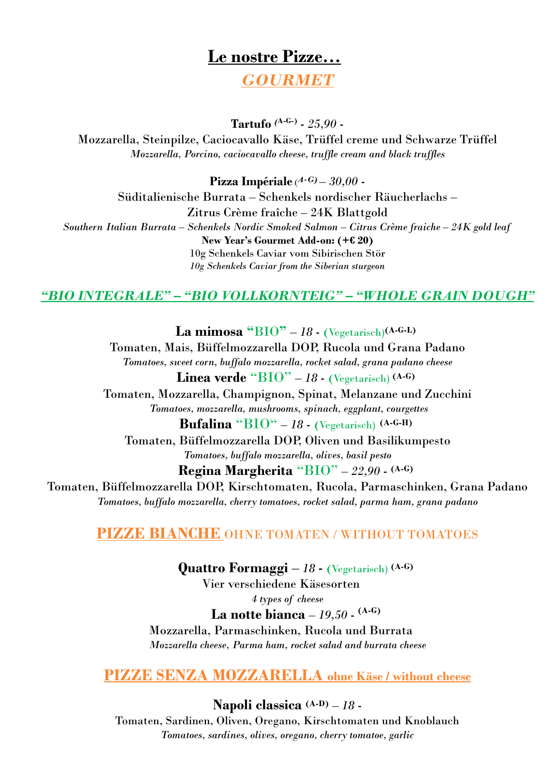# **Le nostre Pizze…** *GOURMET*

**Tartufo** *(***A-G-)** *- 25,90 -*

Mozzarella, Steinpilze, Caciocavallo Käse, Trüffel creme und Schwarze Trüffel *Mozzarella, Porcino, caciocavallo cheese, truffle cream and black truffles*

**Pizza Impériale** ( *A-G) – 30,00 -* Süditalienische Burrata – Schenkels nordischer Räucherlachs – Zitrus Crème fraîche – 24K Blattgold *Southern Italian Burrata – Schenkels Nordic Smoked Salmon – Citrus Crème fraiche – 24K gold leaf*  **New Year's Gourmet Add-on: (+€ 20)**  10g Schenkels Caviar vom Sibirischen Stör *10g Schenkels Caviar from the Siberian sturgeon*

### *"BIO INTEGRALE" – "BIO VOLLKORNTEIG" – "WHOLE GRAIN DOUGH"*

La mimosa  $\text{``BIO''} - 18$   $\cdot$  (Vegetarisch)<sup>(A-G-L)</sup> Tomaten, Mais, Büffelmozzarella DOP, Rucola und Grana Padano *Tomatoes, sweet corn, buffalo mozzarella, rocket salad, grana padano cheese* **Linea verde** " $BIO" - 18$  **-** (Vegetarisch)  $(A-G)$ Tomaten, Mozzarella, Champignon, Spinat, Melanzane und Zucchini *Tomatoes, mozzarella, mushrooms, spinach, eggplant, courgettes* **Bufalina** " $\overline{BIO}$ " – 18  $\cdot$  (Vegetarisch)  $(A-G-H)$ Tomaten, Büffelmozzarella DOP, Oliven und Basilikumpesto *Tomatoes, buffalo mozzarella, olives, basil pesto* **Regina Margherita** "BIO" *– 22,90 -* **(A-G)** Tomaten, Büffelmozzarella DOP, Kirschtomaten, Rucola, Parmaschinken, Grana Padano *Tomatoes, buffalo mozzarella, cherry tomatoes, rocket salad, parma ham, grana padano*

### **PIZZE BIANCHE** OHNE TOMATEN / WITHOUT TOMATOES

**Quattro Formaggi** *– 18 -* **(**Vegetarisch) **(A-G)** Vier verschiedene Käsesorten *4 types of cheese* **La notte bianca** *– 19,50 -* **(A-G)** Mozzarella, Parmaschinken, Rucola und Burrata *Mozzarella cheese, Parma ham, rocket salad and burrata cheese*

**PIZZE SENZA MOZZARELLA ohne Käse / without cheese**

**Napoli classica (A-D)** *– 18 -* Tomaten, Sardinen, Oliven, Oregano, Kirschtomaten und Knoblauch *Tomatoes, sardines, olives, oregano, cherry tomatoe, garlic*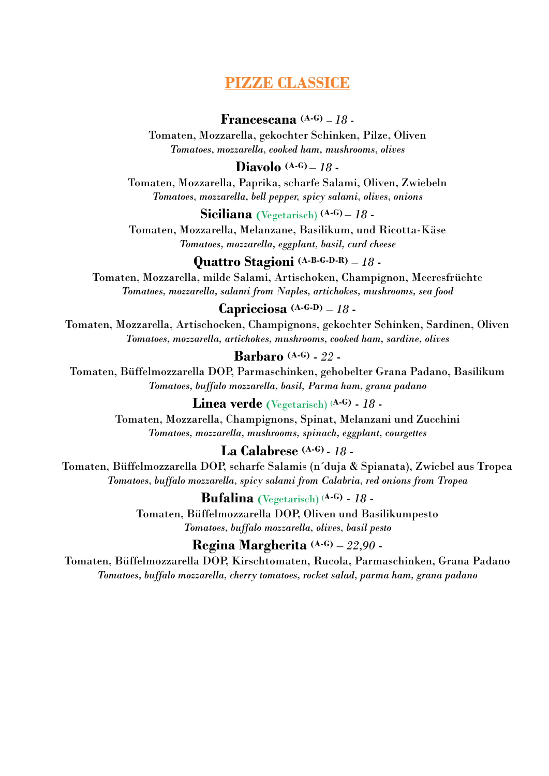### **PIZZE CLASSICE**

### **Francescana (A-G)** *– 18 -*

Tomaten, Mozzarella, gekochter Schinken, Pilze, Oliven *Tomatoes, mozzarella, cooked ham, mushrooms, olives*

#### **Diavolo (A-G)** *– 18 -*

Tomaten, Mozzarella, Paprika, scharfe Salami, Oliven, Zwiebeln *Tomatoes, mozzarella, bell pepper, spicy salami, olives, onions*

#### **Siciliana (**Vegetarisch) **(A-G)** *– 18 -*

Tomaten, Mozzarella, Melanzane, Basilikum, und Ricotta-Käse *Tomatoes, mozzarella, eggplant, basil, curd cheese*

### **Quattro Stagioni (A-B-G-D-R)** *– 18 -*

Tomaten, Mozzarella, milde Salami, Artischoken, Champignon, Meeresfrüchte *Tomatoes, mozzarella, salami from Naples, artichokes, mushrooms, sea food*

### **Capricciosa (A-G-D)** *– 18 -*

Tomaten, Mozzarella, Artischocken, Champignons, gekochter Schinken, Sardinen, Oliven *Tomatoes, mozzarella, artichokes, mushrooms, cooked ham, sardine, olives*

#### **Barbaro (A-G)** *- 22 -*

Tomaten, Büffelmozzarella DOP, Parmaschinken, gehobelter Grana Padano, Basilikum *Tomatoes, buffalo mozzarella, basil, Parma ham, grana padano*

#### **Linea verde (**Vegetarisch) **(A-G)** *- 18 -*

Tomaten, Mozzarella, Champignons, Spinat, Melanzani und Zucchini *Tomatoes, mozzarella, mushrooms, spinach, eggplant, courgettes*

### **La Calabrese (A-G)** *- 18 -*

Tomaten, Büffelmozzarella DOP, scharfe Salamis (n´duja & Spianata), Zwiebel aus Tropea *Tomatoes, buffalo mozzarella, spicy salami from Calabria, red onions from Tropea*

#### **Bufalina (**Vegetarisch) **(A-G)** *- 18 -*

Tomaten, Büffelmozzarella DOP, Oliven und Basilikumpesto *Tomatoes, buffalo mozzarella, olives, basil pesto*

#### **Regina Margherita (A-G)** *– 22,90 -*

Tomaten, Büffelmozzarella DOP, Kirschtomaten, Rucola, Parmaschinken, Grana Padano *Tomatoes, buffalo mozzarella, cherry tomatoes, rocket salad, parma ham, grana padano*